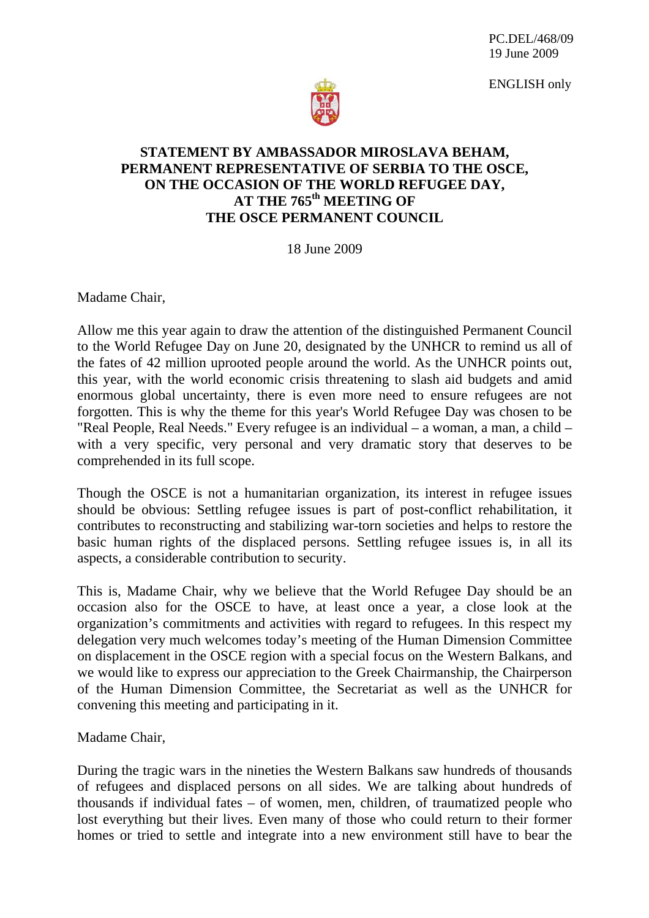ENGLISH only



## **STATEMENT BY AMBASSADOR MIROSLAVA BEHAM, PERMANENT REPRESENTATIVE OF SERBIA TO THE OSCE, ON THE OCCASION OF THE WORLD REFUGEE DAY,**  AT THE 765<sup>th</sup> MEETING OF **THE OSCE PERMANENT COUNCIL**

18 June 2009

Madame Chair,

Allow me this year again to draw the attention of the distinguished Permanent Council to the World Refugee Day on June 20, designated by the UNHCR to remind us all of the fates of 42 million uprooted people around the world. As the UNHCR points out, this year, with the world economic crisis threatening to slash aid budgets and amid enormous global uncertainty, there is even more need to ensure refugees are not forgotten. This is why the theme for this year's World Refugee Day was chosen to be "Real People, Real Needs." Every refugee is an individual – a woman, a man, a child – with a very specific, very personal and very dramatic story that deserves to be comprehended in its full scope.

Though the OSCE is not a humanitarian organization, its interest in refugee issues should be obvious: Settling refugee issues is part of post-conflict rehabilitation, it contributes to reconstructing and stabilizing war-torn societies and helps to restore the basic human rights of the displaced persons. Settling refugee issues is, in all its aspects, a considerable contribution to security.

This is, Madame Chair, why we believe that the World Refugee Day should be an occasion also for the OSCE to have, at least once a year, a close look at the organization's commitments and activities with regard to refugees. In this respect my delegation very much welcomes today's meeting of the Human Dimension Committee on displacement in the OSCE region with a special focus on the Western Balkans, and we would like to express our appreciation to the Greek Chairmanship, the Chairperson of the Human Dimension Committee, the Secretariat as well as the UNHCR for convening this meeting and participating in it.

Madame Chair,

During the tragic wars in the nineties the Western Balkans saw hundreds of thousands of refugees and displaced persons on all sides. We are talking about hundreds of thousands if individual fates – of women, men, children, of traumatized people who lost everything but their lives. Even many of those who could return to their former homes or tried to settle and integrate into a new environment still have to bear the